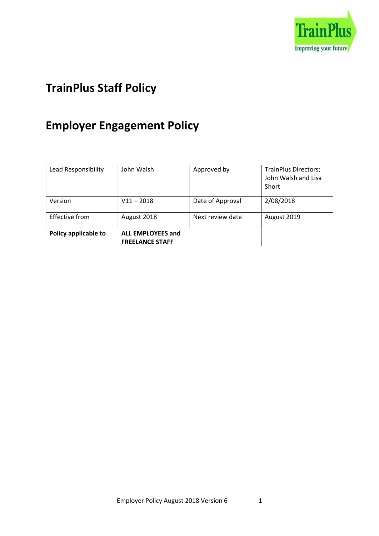

## TrainPlus Staff Policy

# Employer Engagement Policy

| Lead Responsibility  | John Walsh                                         | Approved by      | <b>TrainPlus Directors;</b><br>John Walsh and Lisa<br>Short |
|----------------------|----------------------------------------------------|------------------|-------------------------------------------------------------|
| Version              | $V11 - 2018$                                       | Date of Approval | 2/08/2018                                                   |
| Effective from       | August 2018                                        | Next review date | August 2019                                                 |
| Policy applicable to | <b>ALL EMPLOYEES and</b><br><b>FREELANCE STAFF</b> |                  |                                                             |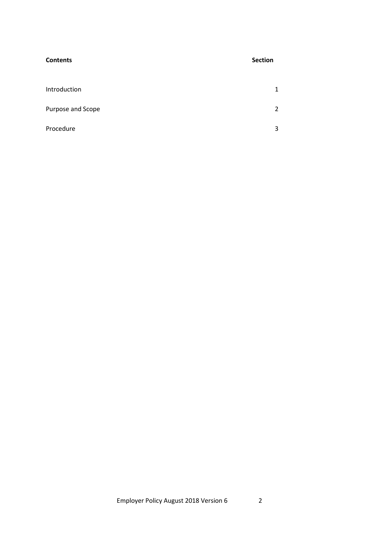| <b>Contents</b>   | <b>Section</b> |
|-------------------|----------------|
| Introduction      | $\mathbf{1}$   |
| Purpose and Scope | $\overline{2}$ |
| Procedure         | 3              |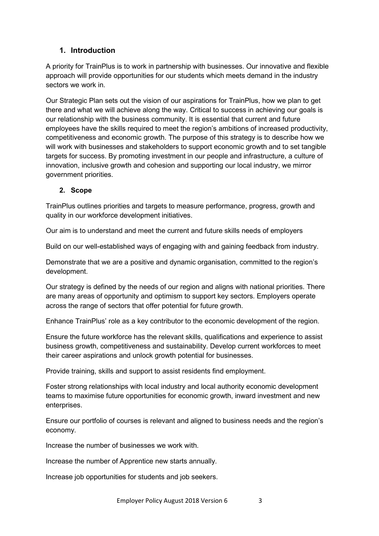### 1. Introduction

A priority for TrainPlus is to work in partnership with businesses. Our innovative and flexible approach will provide opportunities for our students which meets demand in the industry sectors we work in.

Our Strategic Plan sets out the vision of our aspirations for TrainPlus, how we plan to get there and what we will achieve along the way. Critical to success in achieving our goals is our relationship with the business community. It is essential that current and future employees have the skills required to meet the region's ambitions of increased productivity, competitiveness and economic growth. The purpose of this strategy is to describe how we will work with businesses and stakeholders to support economic growth and to set tangible targets for success. By promoting investment in our people and infrastructure, a culture of innovation, inclusive growth and cohesion and supporting our local industry, we mirror government priorities.

#### 2. Scope

TrainPlus outlines priorities and targets to measure performance, progress, growth and quality in our workforce development initiatives.

Our aim is to understand and meet the current and future skills needs of employers

Build on our well-established ways of engaging with and gaining feedback from industry.

Demonstrate that we are a positive and dynamic organisation, committed to the region's development.

Our strategy is defined by the needs of our region and aligns with national priorities. There are many areas of opportunity and optimism to support key sectors. Employers operate across the range of sectors that offer potential for future growth.

Enhance TrainPlus' role as a key contributor to the economic development of the region.

Ensure the future workforce has the relevant skills, qualifications and experience to assist business growth, competitiveness and sustainability. Develop current workforces to meet their career aspirations and unlock growth potential for businesses.

Provide training, skills and support to assist residents find employment.

Foster strong relationships with local industry and local authority economic development teams to maximise future opportunities for economic growth, inward investment and new enterprises.

Ensure our portfolio of courses is relevant and aligned to business needs and the region's economy.

Increase the number of businesses we work with.

Increase the number of Apprentice new starts annually.

Increase job opportunities for students and job seekers.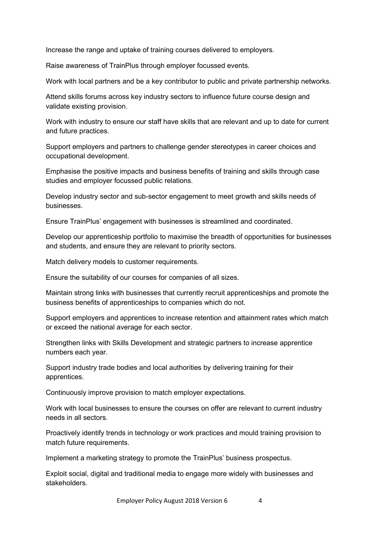Increase the range and uptake of training courses delivered to employers.

Raise awareness of TrainPlus through employer focussed events.

Work with local partners and be a key contributor to public and private partnership networks.

Attend skills forums across key industry sectors to influence future course design and validate existing provision.

Work with industry to ensure our staff have skills that are relevant and up to date for current and future practices.

Support employers and partners to challenge gender stereotypes in career choices and occupational development.

Emphasise the positive impacts and business benefits of training and skills through case studies and employer focussed public relations.

Develop industry sector and sub-sector engagement to meet growth and skills needs of businesses.

Ensure TrainPlus' engagement with businesses is streamlined and coordinated.

Develop our apprenticeship portfolio to maximise the breadth of opportunities for businesses and students, and ensure they are relevant to priority sectors.

Match delivery models to customer requirements.

Ensure the suitability of our courses for companies of all sizes.

Maintain strong links with businesses that currently recruit apprenticeships and promote the business benefits of apprenticeships to companies which do not.

Support employers and apprentices to increase retention and attainment rates which match or exceed the national average for each sector.

Strengthen links with Skills Development and strategic partners to increase apprentice numbers each year.

Support industry trade bodies and local authorities by delivering training for their apprentices.

Continuously improve provision to match employer expectations.

Work with local businesses to ensure the courses on offer are relevant to current industry needs in all sectors.

Proactively identify trends in technology or work practices and mould training provision to match future requirements.

Implement a marketing strategy to promote the TrainPlus' business prospectus.

Exploit social, digital and traditional media to engage more widely with businesses and stakeholders.